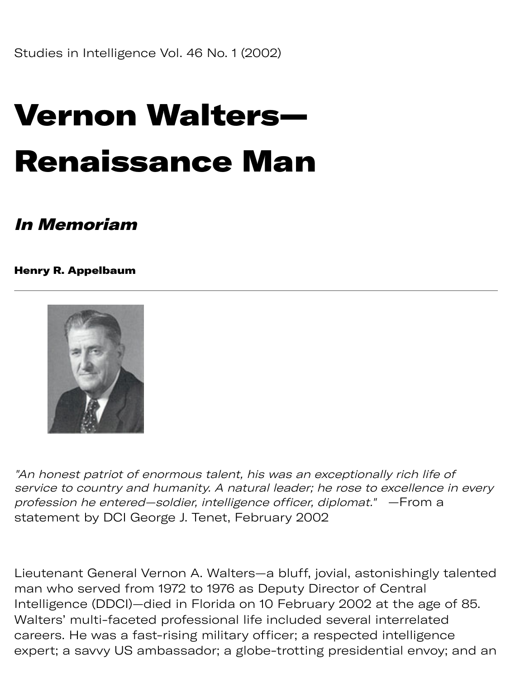## Vernon Walters— Renaissance Man

## In Memoriam

Henry R. Appelbaum



"An honest patriot of enormous talent, his was an exceptionally rich life of service to country and humanity. A natural leader; he rose to excellence in every profession he entered—soldier, intelligence officer, diplomat." —From a statement by DCI George J. Tenet, February 2002

Lieutenant General Vernon A. Walters—a bluff, jovial, astonishingly talented man who served from 1972 to 1976 as Deputy Director of Central Intelligence (DDCI)—died in Florida on 10 February 2002 at the age of 85. Walters' multi-faceted professional life included several interrelated careers. He was a fast-rising military officer; a respected intelligence expert; a savvy US ambassador; a globe-trotting presidential envoy; and an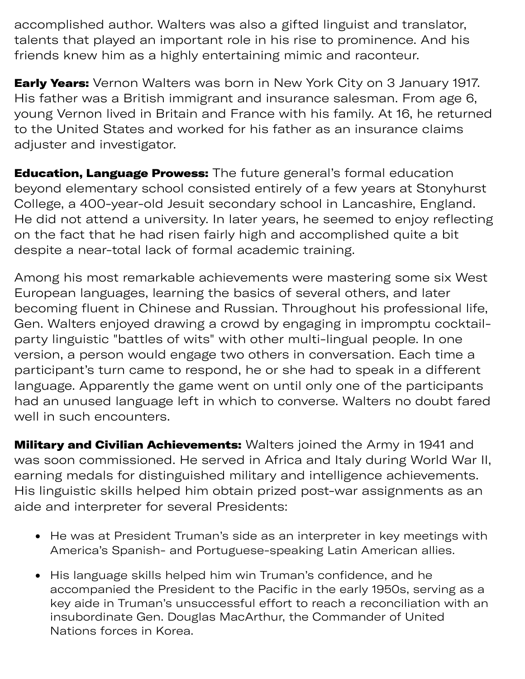$x \in \mathbb{R}^n$  y US a dor; a global ting problem to the global time  $\mathbb{R}^n$ accomplished author. Walters was also a gifted linguist and translator, talents that played an important role in his rise to prominence. And his friends knew him as a highly entertaining mimic and raconteur.

**Early Years:** Vernon Walters was born in New York City on 3 January 1917. His father was a British immigrant and insurance salesman. From age 6, young Vernon lived in Britain and France with his family. At 16, he returned to the United States and worked for his father as an insurance claims adjuster and investigator.

**Education, Language Prowess:** The future general's formal education beyond elementary school consisted entirely of a few years at Stonyhurst College, a 400-year-old Jesuit secondary school in Lancashire, England. He did not attend a university. In later years, he seemed to enjoy reflecting on the fact that he had risen fairly high and accomplished quite a bit despite a near-total lack of formal academic training.

Among his most remarkable achievements were mastering some six West European languages, learning the basics of several others, and later becoming fluent in Chinese and Russian. Throughout his professional life, Gen. Walters enjoyed drawing a crowd by engaging in impromptu cocktailparty linguistic "battles of wits" with other multi-lingual people. In one version, a person would engage two others in conversation. Each time a participant's turn came to respond, he or she had to speak in a different language. Apparently the game went on until only one of the participants had an unused language left in which to converse. Walters no doubt fared well in such encounters.

**Military and Civilian Achievements:** Walters joined the Army in 1941 and was soon commissioned. He served in Africa and Italy during World War II, earning medals for distinguished military and intelligence achievements. His linguistic skills helped him obtain prized post-war assignments as an aide and interpreter for several Presidents:

- He was at President Truman's side as an interpreter in key meetings with America's Spanish- and Portuguese-speaking Latin American allies.
- His language skills helped him win Truman's confidence, and he accompanied the President to the Pacific in the early 1950s, serving as a key aide in Truman's unsuccessful effort to reach a reconciliation with an insubordinate Gen. Douglas MacArthur, the Commander of United Nations forces in Korea.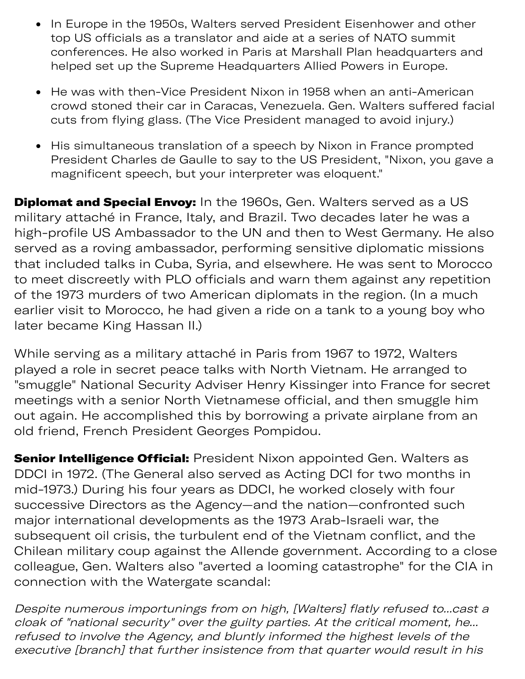- In Europe in the 1950s, Walters served President Eisenhower and other top US officials as a translator and aide at a series of NATO summit conferences. He also worked in Paris at Marshall Plan headquarters and helped set up the Supreme Headquarters Allied Powers in Europe.
- He was with then-Vice President Nixon in 1958 when an anti-American crowd stoned their car in Caracas, Venezuela. Gen. Walters suffered facial cuts from flying glass. (The Vice President managed to avoid injury.)
- His simultaneous translation of a speech by Nixon in France prompted President Charles de Gaulle to say to the US President, "Nixon, you gave a magnificent speech, but your interpreter was eloquent."

**Diplomat and Special Envoy:** In the 1960s, Gen. Walters served as a US military attaché in France, Italy, and Brazil. Two decades later he was a high-profile US Ambassador to the UN and then to West Germany. He also served as a roving ambassador, performing sensitive diplomatic missions that included talks in Cuba, Syria, and elsewhere. He was sent to Morocco to meet discreetly with PLO officials and warn them against any repetition of the 1973 murders of two American diplomats in the region. (In a much earlier visit to Morocco, he had given a ride on a tank to a young boy who later became King Hassan II.)

While serving as a military attaché in Paris from 1967 to 1972, Walters played a role in secret peace talks with North Vietnam. He arranged to "smuggle" National Security Adviser Henry Kissinger into France for secret meetings with a senior North Vietnamese official, and then smuggle him out again. He accomplished this by borrowing a private airplane from an old friend, French President Georges Pompidou.

Senior Intelligence Official: President Nixon appointed Gen. Walters as DDCI in 1972. (The General also served as Acting DCI for two months in mid-1973.) During his four years as DDCI, he worked closely with four successive Directors as the Agency—and the nation—confronted such major international developments as the 1973 Arab-Israeli war, the subsequent oil crisis, the turbulent end of the Vietnam conflict, and the Chilean military coup against the Allende government. According to a close colleague, Gen. Walters also "averted a looming catastrophe" for the CIA in connection with the Watergate scandal:

Despite numerous importunings from on high, [Walters] flatly refused to...cast a cloak of "national security" over the guilty parties. At the critical moment, he... refused to involve the Agency, and bluntly informed the highest levels of the executive [branch] that further insistence from that quarter would result in his